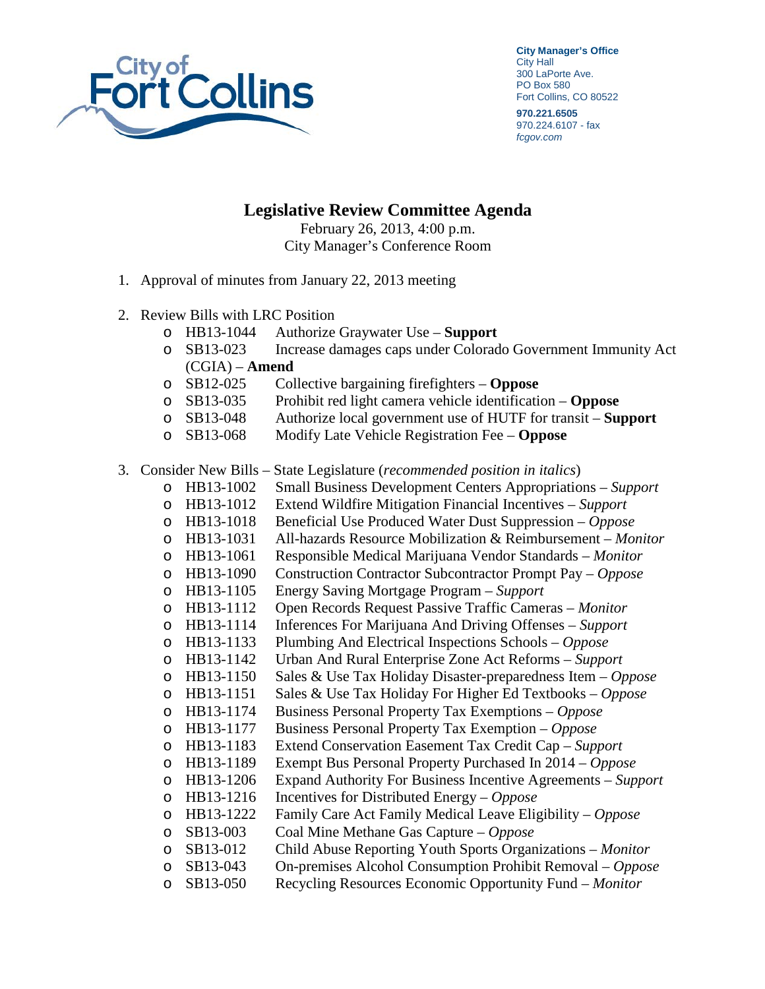

**City Manager's Office** City Hall 300 LaPorte Ave. PO Box 580 Fort Collins, CO 80522

**970.221.6505** 970.224.6107 - fax *fcgov.com*

## **Legislative Review Committee Agenda**

February 26, 2013, 4:00 p.m. City Manager's Conference Room

- 1. Approval of minutes from January 22, 2013 meeting
- 2. Review Bills with LRC Position
	- o HB13-1044 Authorize Graywater Use **Support**
	- Increase damages caps under Colorado Government Immunity Act (CGIA) – **Amend**
	- o SB12-025 Collective bargaining firefighters **Oppose**
	- o SB13-035 Prohibit red light camera vehicle identification **Oppose**
	- o SB13-048 Authorize local government use of HUTF for transit **Support**
	- Modify Late Vehicle Registration Fee **Oppose**
- 3. Consider New Bills State Legislature (*recommended position in italics*)
	- o HB13-1002 Small Business Development Centers Appropriations *Support*
	- o HB13-1012 Extend Wildfire Mitigation Financial Incentives *Support*
	- o HB13-1018 Beneficial Use Produced Water Dust Suppression *Oppose*
	- HB13-1031 All-hazards Resource Mobilization & Reimbursement *Monitor* HB13-1061 Responsible Medical Marijuana Vendor Standards *Monitor*
	- o HB13-1061 Responsible Medical Marijuana Vendor Standards *Monitor*
	- o HB13-1090 Construction Contractor Subcontractor Prompt Pay *Oppose*
	- o HB13-1105 Energy Saving Mortgage Program *Support*
	- o HB13-1112 Open Records Request Passive Traffic Cameras *Monitor*
	- o HB13-1114 Inferences For Marijuana And Driving Offenses *Support*
	-
	- o HB13-1133 Plumbing And Electrical Inspections Schools *Oppose*
	- o HB13-1142 Urban And Rural Enterprise Zone Act Reforms *Support*
	- o HB13-1150 Sales & Use Tax Holiday Disaster-preparedness Item *Oppose*
	- HB13-1151 Sales & Use Tax Holiday For Higher Ed Textbooks *Oppose*<br>HB13-1174 Business Personal Property Tax Exemptions *Oppose*
	- o HB13-1174 Business Personal Property Tax Exemptions *Oppose*  o HB13-1177 Business Personal Property Tax Exemption – *Oppose*
	-
	- o HB13-1183 Extend Conservation Easement Tax Credit Cap *Support*  o HB13-1189 Exempt Bus Personal Property Purchased In 2014 – *Oppose*
	- o HB13-1206 Expand Authority For Business Incentive Agreements *Support*
	- o HB13-1216 Incentives for Distributed Energy *Oppose*
	- o HB13-1222 Family Care Act Family Medical Leave Eligibility *Oppose*
	- o SB13-003 Coal Mine Methane Gas Capture *Oppose*
	-
	- SB13-012 Child Abuse Reporting Youth Sports Organizations *Monitor*<br>SB13-043 On-premises Alcohol Consumption Prohibit Removal *Oppos* o SB13-043 On-premises Alcohol Consumption Prohibit Removal – *Oppose*
	- o SB13-050 Recycling Resources Economic Opportunity Fund *Monitor*